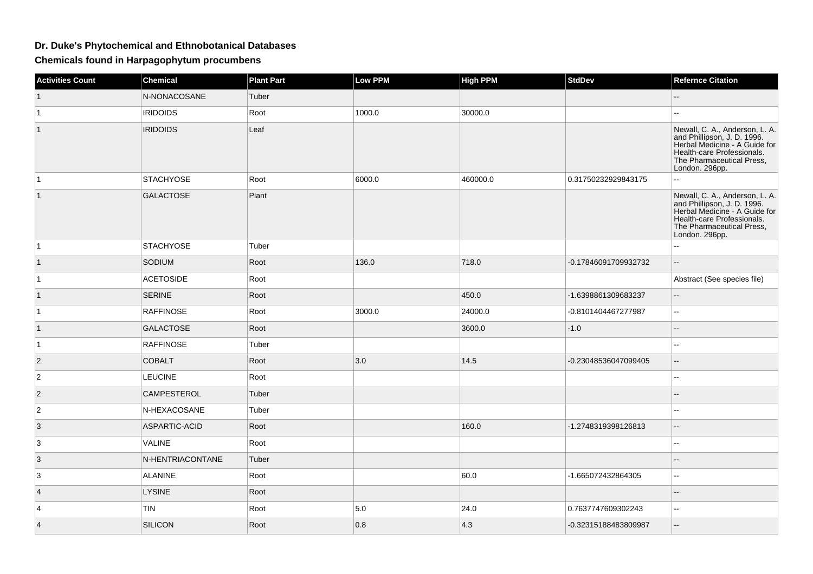## **Dr. Duke's Phytochemical and Ethnobotanical Databases**

**Chemicals found in Harpagophytum procumbens**

| <b>Activities Count</b> | Chemical         | <b>Plant Part</b> | <b>Low PPM</b> | <b>High PPM</b> | StdDev               | <b>Refernce Citation</b>                                                                                                                                                    |
|-------------------------|------------------|-------------------|----------------|-----------------|----------------------|-----------------------------------------------------------------------------------------------------------------------------------------------------------------------------|
|                         | N-NONACOSANE     | Tuber             |                |                 |                      |                                                                                                                                                                             |
| $\mathbf{1}$            | <b>IRIDOIDS</b>  | Root              | 1000.0         | 30000.0         |                      |                                                                                                                                                                             |
| $\mathbf{1}$            | <b>IRIDOIDS</b>  | Leaf              |                |                 |                      | Newall, C. A., Anderson, L. A.<br>and Phillipson, J. D. 1996.<br>Herbal Medicine - A Guide for<br>Health-care Professionals.<br>The Pharmaceutical Press,<br>London. 296pp. |
| $\mathbf{1}$            | <b>STACHYOSE</b> | Root              | 6000.0         | 460000.0        | 0.31750232929843175  | -−                                                                                                                                                                          |
| $\mathbf{1}$            | <b>GALACTOSE</b> | Plant             |                |                 |                      | Newall, C. A., Anderson, L. A.<br>and Phillipson, J. D. 1996.<br>Herbal Medicine - A Guide for<br>Health-care Professionals.<br>The Pharmaceutical Press,<br>London. 296pp. |
| $\overline{1}$          | <b>STACHYOSE</b> | Tuber             |                |                 |                      | 44                                                                                                                                                                          |
| $\mathbf{1}$            | SODIUM           | Root              | 136.0          | 718.0           | -0.17846091709932732 | ω.                                                                                                                                                                          |
| $\mathbf{1}$            | <b>ACETOSIDE</b> | Root              |                |                 |                      | Abstract (See species file)                                                                                                                                                 |
| $\mathbf{1}$            | <b>SERINE</b>    | Root              |                | 450.0           | -1.6398861309683237  | $\overline{\phantom{a}}$                                                                                                                                                    |
| $\mathbf{1}$            | <b>RAFFINOSE</b> | Root              | 3000.0         | 24000.0         | -0.8101404467277987  | $\Box$                                                                                                                                                                      |
| $\mathbf{1}$            | <b>GALACTOSE</b> | Root              |                | 3600.0          | $-1.0$               |                                                                                                                                                                             |
| $\mathbf{1}$            | <b>RAFFINOSE</b> | Tuber             |                |                 |                      |                                                                                                                                                                             |
| $\overline{2}$          | <b>COBALT</b>    | Root              | 3.0            | 14.5            | -0.23048536047099405 | Ξ.                                                                                                                                                                          |
| $\overline{2}$          | <b>LEUCINE</b>   | Root              |                |                 |                      |                                                                                                                                                                             |
| 2                       | CAMPESTEROL      | Tuber             |                |                 |                      |                                                                                                                                                                             |
| 2                       | N-HEXACOSANE     | Tuber             |                |                 |                      |                                                                                                                                                                             |
| 3                       | ASPARTIC-ACID    | Root              |                | 160.0           | -1.2748319398126813  | $\overline{a}$                                                                                                                                                              |
| 3                       | VALINE           | Root              |                |                 |                      |                                                                                                                                                                             |
| 3                       | N-HENTRIACONTANE | Tuber             |                |                 |                      |                                                                                                                                                                             |
| 3                       | <b>ALANINE</b>   | Root              |                | 60.0            | -1.665072432864305   | $\mathbf{u}$                                                                                                                                                                |
| 4                       | <b>LYSINE</b>    | Root              |                |                 |                      |                                                                                                                                                                             |
| 4                       | <b>TIN</b>       | Root              | 5.0            | 24.0            | 0.7637747609302243   | $\sim$                                                                                                                                                                      |
| $\overline{4}$          | <b>SILICON</b>   | Root              | 0.8            | $ 4.3\rangle$   | -0.32315188483809987 | $-$                                                                                                                                                                         |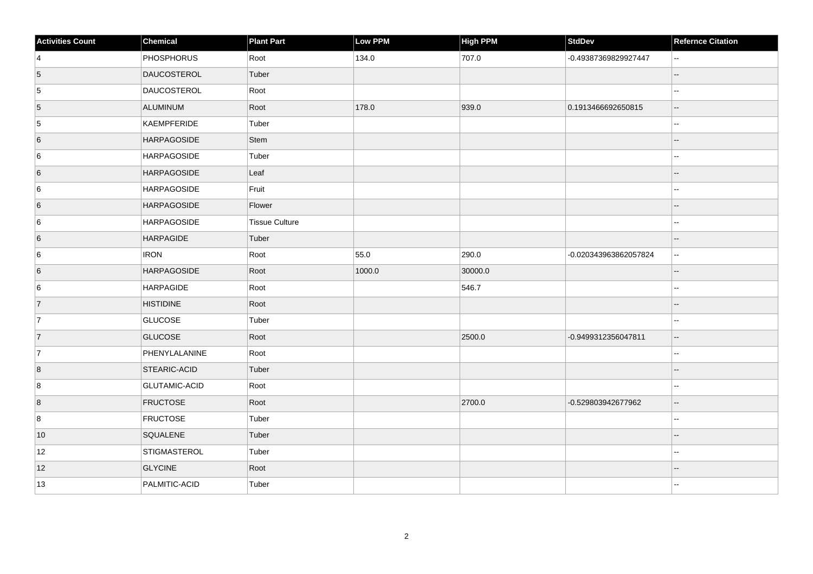| <b>Activities Count</b> | Chemical             | Plant Part            | <b>Low PPM</b> | High PPM | <b>StdDev</b>         | <b>Refernce Citation</b> |
|-------------------------|----------------------|-----------------------|----------------|----------|-----------------------|--------------------------|
| $\vert$ 4               | PHOSPHORUS           | Root                  | 134.0          | 707.0    | -0.49387369829927447  | $\overline{\phantom{a}}$ |
| 5                       | DAUCOSTEROL          | Tuber                 |                |          |                       |                          |
| $\overline{5}$          | DAUCOSTEROL          | Root                  |                |          |                       | $\overline{\phantom{a}}$ |
| $\overline{5}$          | ALUMINUM             | Root                  | 178.0          | 939.0    | 0.1913466692650815    | $\overline{\phantom{a}}$ |
| $\overline{5}$          | KAEMPFERIDE          | Tuber                 |                |          |                       |                          |
| $6\overline{6}$         | <b>HARPAGOSIDE</b>   | Stem                  |                |          |                       |                          |
| 6                       | HARPAGOSIDE          | Tuber                 |                |          |                       |                          |
| 6                       | <b>HARPAGOSIDE</b>   | Leaf                  |                |          |                       |                          |
| $6\phantom{.}6$         | HARPAGOSIDE          | Fruit                 |                |          |                       | $\overline{a}$           |
| 6                       | <b>HARPAGOSIDE</b>   | Flower                |                |          |                       | $\sim$                   |
| 6                       | HARPAGOSIDE          | <b>Tissue Culture</b> |                |          |                       | $\sim$                   |
| 6                       | HARPAGIDE            | Tuber                 |                |          |                       | $\overline{\phantom{a}}$ |
| $6\phantom{.}6$         | <b>IRON</b>          | Root                  | 55.0           | 290.0    | -0.020343963862057824 | $-$                      |
| 6                       | <b>HARPAGOSIDE</b>   | Root                  | 1000.0         | 30000.0  |                       |                          |
| 6                       | HARPAGIDE            | Root                  |                | 546.7    |                       |                          |
| $\overline{7}$          | <b>HISTIDINE</b>     | Root                  |                |          |                       |                          |
| 7                       | GLUCOSE              | Tuber                 |                |          |                       | $\sim$                   |
| $\overline{7}$          | <b>GLUCOSE</b>       | Root                  |                | 2500.0   | -0.9499312356047811   | $\overline{\phantom{a}}$ |
| 7                       | PHENYLALANINE        | Root                  |                |          |                       | $\overline{\phantom{a}}$ |
| $\overline{8}$          | <b>STEARIC-ACID</b>  | Tuber                 |                |          |                       |                          |
| 8                       | <b>GLUTAMIC-ACID</b> | Root                  |                |          |                       | Ξ.                       |
| $\vert 8 \vert$         | <b>FRUCTOSE</b>      | Root                  |                | 2700.0   | -0.529803942677962    | $\sim$ $\sim$            |
| 8                       | <b>FRUCTOSE</b>      | Tuber                 |                |          |                       | $\overline{a}$           |
| 10                      | SQUALENE             | Tuber                 |                |          |                       |                          |
| 12                      | STIGMASTEROL         | Tuber                 |                |          |                       | $\overline{a}$           |
| 12                      | <b>GLYCINE</b>       | Root                  |                |          |                       |                          |
| 13                      | PALMITIC-ACID        | Tuber                 |                |          |                       |                          |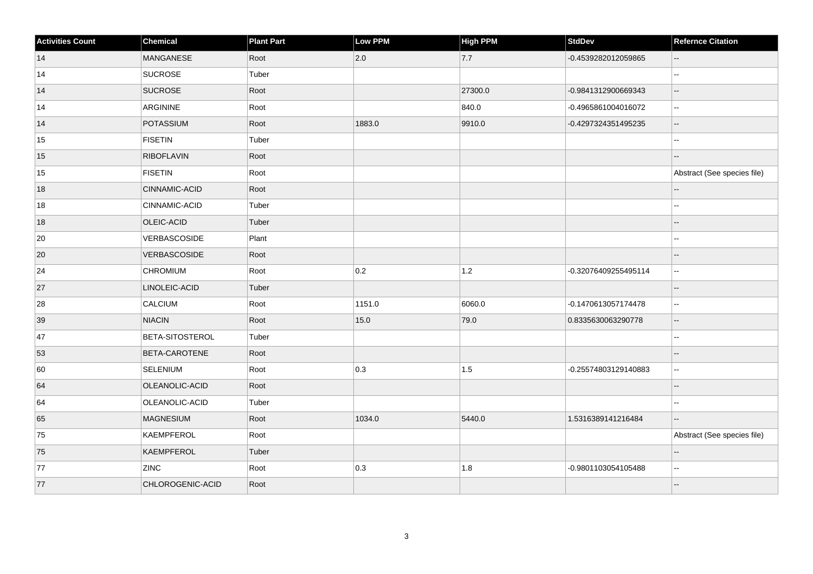| <b>Activities Count</b> | Chemical             | Plant Part | Low PPM | <b>High PPM</b> | <b>StdDev</b>        | <b>Refernce Citation</b>    |
|-------------------------|----------------------|------------|---------|-----------------|----------------------|-----------------------------|
| 14                      | <b>MANGANESE</b>     | Root       | 2.0     | 7.7             | -0.4539282012059865  | $\overline{\phantom{a}}$    |
| 14                      | <b>SUCROSE</b>       | Tuber      |         |                 |                      |                             |
| 14                      | <b>SUCROSE</b>       | Root       |         | 27300.0         | -0.9841312900669343  | --                          |
| 14                      | ARGININE             | Root       |         | 840.0           | -0.4965861004016072  | ۵۵                          |
| 14                      | POTASSIUM            | Root       | 1883.0  | 9910.0          | -0.4297324351495235  | Ξ.                          |
| 15                      | FISETIN              | Tuber      |         |                 |                      | --                          |
| 15                      | <b>RIBOFLAVIN</b>    | Root       |         |                 |                      |                             |
| 15                      | <b>FISETIN</b>       | Root       |         |                 |                      | Abstract (See species file) |
| 18                      | CINNAMIC-ACID        | Root       |         |                 |                      |                             |
| $18\,$                  | CINNAMIC-ACID        | Tuber      |         |                 |                      | --                          |
| 18                      | OLEIC-ACID           | Tuber      |         |                 |                      | --                          |
| $20\,$                  | VERBASCOSIDE         | Plant      |         |                 |                      |                             |
| 20                      | <b>VERBASCOSIDE</b>  | Root       |         |                 |                      | --                          |
| 24                      | <b>CHROMIUM</b>      | Root       | 0.2     | 1.2             | -0.32076409255495114 | $\overline{\phantom{a}}$    |
| 27                      | LINOLEIC-ACID        | Tuber      |         |                 |                      |                             |
| 28                      | CALCIUM              | Root       | 1151.0  | 6060.0          | -0.1470613057174478  | --                          |
| 39                      | <b>NIACIN</b>        | Root       | 15.0    | 79.0            | 0.8335630063290778   | $\overline{\phantom{a}}$    |
| 47                      | BETA-SITOSTEROL      | Tuber      |         |                 |                      | --                          |
| 53                      | <b>BETA-CAROTENE</b> | Root       |         |                 |                      | $-$                         |
| 60                      | <b>SELENIUM</b>      | Root       | 0.3     | 1.5             | -0.25574803129140883 | $\overline{\phantom{a}}$    |
| 64                      | OLEANOLIC-ACID       | Root       |         |                 |                      |                             |
| 64                      | OLEANOLIC-ACID       | Tuber      |         |                 |                      | --                          |
| 65                      | <b>MAGNESIUM</b>     | Root       | 1034.0  | 5440.0          | 1.5316389141216484   | --                          |
| 75                      | KAEMPFEROL           | Root       |         |                 |                      | Abstract (See species file) |
| 75                      | KAEMPFEROL           | Tuber      |         |                 |                      | $-$                         |
| 77                      | <b>ZINC</b>          | Root       | 0.3     | 1.8             | -0.9801103054105488  | $\overline{\phantom{a}}$    |
| 77                      | CHLOROGENIC-ACID     | Root       |         |                 |                      | $\overline{a}$              |